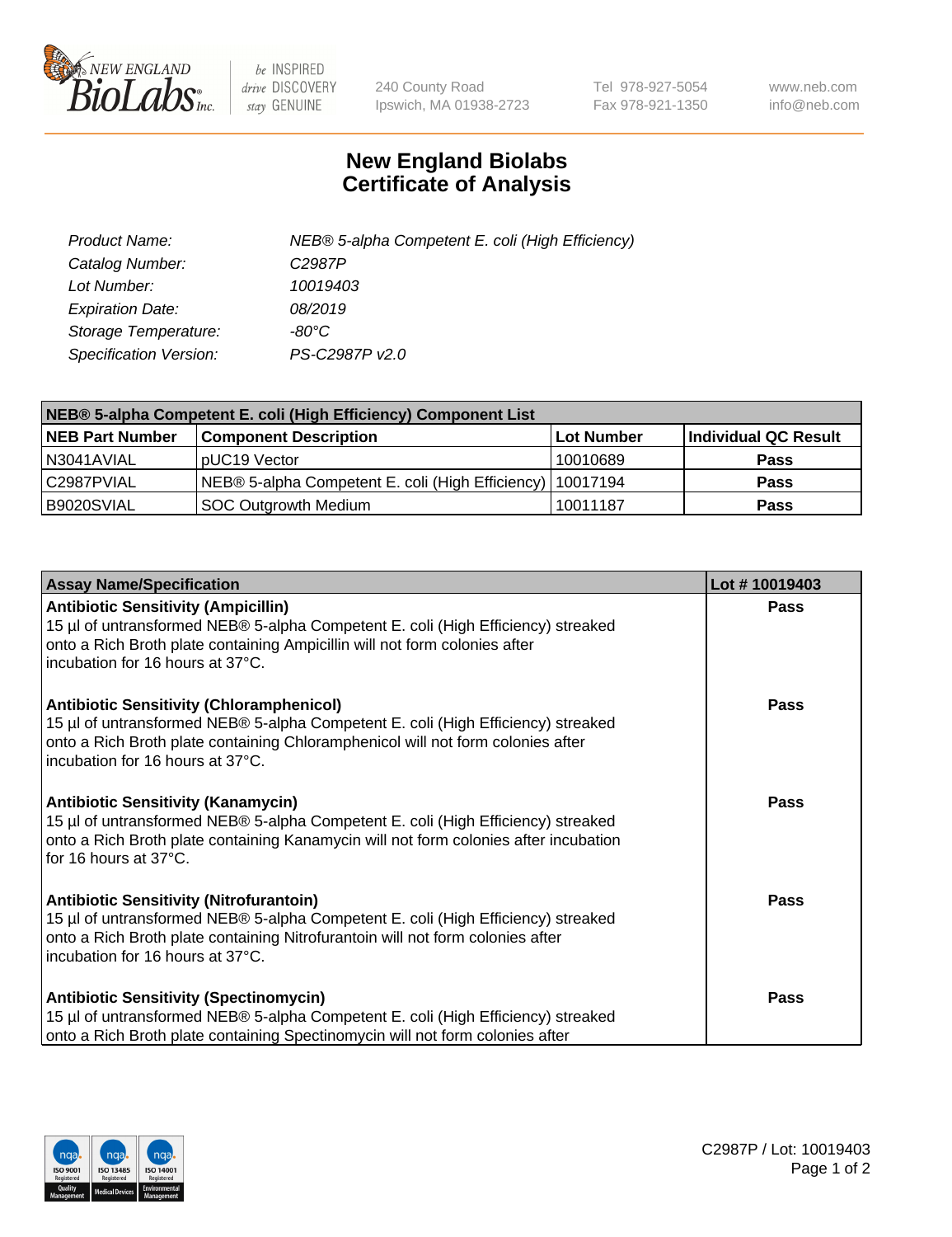

 $be$  INSPIRED drive DISCOVERY stay GENUINE

240 County Road Ipswich, MA 01938-2723 Tel 978-927-5054 Fax 978-921-1350 www.neb.com info@neb.com

## **New England Biolabs Certificate of Analysis**

| Product Name:                 | NEB® 5-alpha Competent E. coli (High Efficiency) |
|-------------------------------|--------------------------------------------------|
| Catalog Number:               | C <sub>2987</sub> P                              |
| Lot Number:                   | 10019403                                         |
| <b>Expiration Date:</b>       | 08/2019                                          |
| Storage Temperature:          | -80°C                                            |
| <b>Specification Version:</b> | PS-C2987P v2.0                                   |

| NEB® 5-alpha Competent E. coli (High Efficiency) Component List |                                                             |            |                      |  |
|-----------------------------------------------------------------|-------------------------------------------------------------|------------|----------------------|--|
| <b>NEB Part Number</b>                                          | <b>Component Description</b>                                | Lot Number | Individual QC Result |  |
| N3041AVIAL                                                      | pUC19 Vector                                                | 10010689   | <b>Pass</b>          |  |
| C2987PVIAL                                                      | NEB® 5-alpha Competent E. coli (High Efficiency)   10017194 |            | <b>Pass</b>          |  |
| B9020SVIAL                                                      | <b>SOC Outgrowth Medium</b>                                 | 10011187   | <b>Pass</b>          |  |

| <b>Assay Name/Specification</b>                                                                                                                                                                                                                            | Lot #10019403 |
|------------------------------------------------------------------------------------------------------------------------------------------------------------------------------------------------------------------------------------------------------------|---------------|
| <b>Antibiotic Sensitivity (Ampicillin)</b><br>15 µl of untransformed NEB® 5-alpha Competent E. coli (High Efficiency) streaked<br>onto a Rich Broth plate containing Ampicillin will not form colonies after<br>incubation for 16 hours at 37°C.           | Pass          |
| <b>Antibiotic Sensitivity (Chloramphenicol)</b><br>15 µl of untransformed NEB® 5-alpha Competent E. coli (High Efficiency) streaked<br>onto a Rich Broth plate containing Chloramphenicol will not form colonies after<br>incubation for 16 hours at 37°C. | Pass          |
| Antibiotic Sensitivity (Kanamycin)<br>15 µl of untransformed NEB® 5-alpha Competent E. coli (High Efficiency) streaked<br>onto a Rich Broth plate containing Kanamycin will not form colonies after incubation<br>for 16 hours at 37°C.                    | Pass          |
| <b>Antibiotic Sensitivity (Nitrofurantoin)</b><br>15 µl of untransformed NEB® 5-alpha Competent E. coli (High Efficiency) streaked<br>onto a Rich Broth plate containing Nitrofurantoin will not form colonies after<br>incubation for 16 hours at 37°C.   | <b>Pass</b>   |
| <b>Antibiotic Sensitivity (Spectinomycin)</b><br>15 µl of untransformed NEB® 5-alpha Competent E. coli (High Efficiency) streaked<br>onto a Rich Broth plate containing Spectinomycin will not form colonies after                                         | Pass          |